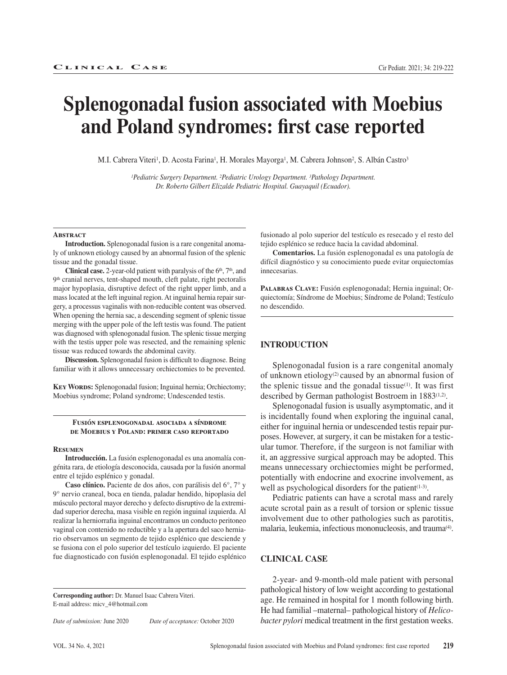# **Splenogonadal fusion associated with Moebius and Poland syndromes: first case reported**

M.I. Cabrera Viteri<sup>1</sup>, D. Acosta Farina<sup>1</sup>, H. Morales Mayorga<sup>1</sup>, M. Cabrera Johnson<sup>2</sup>, S. Albán Castro<sup>3</sup>

*1Pediatric Surgery Department. 2Pediatric Urology Department. 3Pathology Department. Dr. Roberto Gilbert Elizalde Pediatric Hospital. Guayaquil (Ecuador).*

#### **ABSTRACT**

**Introduction.** Splenogonadal fusion is a rare congenital anomaly of unknown etiology caused by an abnormal fusion of the splenic tissue and the gonadal tissue.

**Clinical case.** 2-year-old patient with paralysis of the 6<sup>th</sup>, 7<sup>th</sup>, and 9th cranial nerves, tent-shaped mouth, cleft palate, right pectoralis major hypoplasia, disruptive defect of the right upper limb, and a mass located at the left inguinal region. At inguinal hernia repair surgery, a processus vaginalis with non-reducible content was observed. When opening the hernia sac, a descending segment of splenic tissue merging with the upper pole of the left testis was found. The patient was diagnosed with splenogonadal fusion. The splenic tissue merging with the testis upper pole was resected, and the remaining splenic tissue was reduced towards the abdominal cavity.

**Discussion.** Splenogonadal fusion is difficult to diagnose. Being familiar with it allows unnecessary orchiectomies to be prevented.

**KEY WORDS:** Splenogonadal fusion; Inguinal hernia; Orchiectomy; Moebius syndrome; Poland syndrome; Undescended testis.

### **Fusión esplenogonadal asociada a síndrome de Moebius y Poland: primer caso reportado**

#### **Resumen**

**Introducción.** La fusión esplenogonadal es una anomalía congénita rara, de etiología desconocida, causada por la fusión anormal entre el tejido esplénico y gonadal.

**Caso clínico.** Paciente de dos años, con parálisis del 6°, 7° y 9° nervio craneal, boca en tienda, paladar hendido, hipoplasia del músculo pectoral mayor derecho y defecto disruptivo de la extremidad superior derecha, masa visible en región inguinal izquierda. Al realizar la herniorrafia inguinal encontramos un conducto peritoneo vaginal con contenido no reductible y a la apertura del saco herniario observamos un segmento de tejido esplénico que desciende y se fusiona con el polo superior del testículo izquierdo. El paciente fue diagnosticado con fusión esplenogonadal. El tejido esplénico

**Corresponding author:** Dr. Manuel Isaac Cabrera Viteri. E-mail address: micv\_4@hotmail.com

*Date of submission:* June 2020 *Date of acceptance:* October 2020

fusionado al polo superior del testículo es resecado y el resto del tejido esplénico se reduce hacia la cavidad abdominal.

**Comentarios.** La fusión esplenogonadal es una patología de difícil diagnóstico y su conocimiento puede evitar orquiectomías innecesarias.

PALABRAS CLAVE: Fusión esplenogonadal; Hernia inguinal; Orquiectomía; Síndrome de Moebius; Síndrome de Poland; Testículo no descendido.

# **INTRODUCTION**

Splenogonadal fusion is a rare congenital anomaly of unknown etiology(2) caused by an abnormal fusion of the splenic tissue and the gonadal tissue<sup>(1)</sup>. It was first described by German pathologist Bostroem in 1883(1,2).

Splenogonadal fusion is usually asymptomatic, and it is incidentally found when exploring the inguinal canal, either for inguinal hernia or undescended testis repair purposes. However, at surgery, it can be mistaken for a testicular tumor. Therefore, if the surgeon is not familiar with it, an aggressive surgical approach may be adopted. This means unnecessary orchiectomies might be performed, potentially with endocrine and exocrine involvement, as well as psychological disorders for the patient $(1-3)$ .

Pediatric patients can have a scrotal mass and rarely acute scrotal pain as a result of torsion or splenic tissue involvement due to other pathologies such as parotitis, malaria, leukemia, infectious mononucleosis, and trauma<sup>(4)</sup>.

# **CLINICAL CASE**

2-year- and 9-month-old male patient with personal pathological history of low weight according to gestational age. He remained in hospital for 1 month following birth. He had familial –maternal– pathological history of *Helicobacter pylori* medical treatment in the first gestation weeks.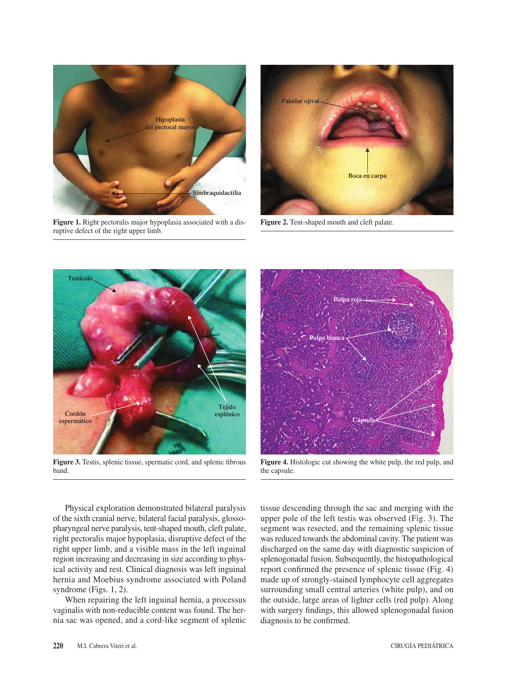

**Figure 1.** Right pectoralis major hypoplasia associated with a disruptive defect of the right upper limb.



**Figure 2.** Tent-shaped mouth and cleft palate.



**Figure 3.** Testis, splenic tissue, spermatic cord, and splenic fibrous band.



**Figure 4.** Histologic cut showing the white pulp, the red pulp, and the capsule.

Physical exploration demonstrated bilateral paralysis of the sixth cranial nerve, bilateral facial paralysis, glossopharyngeal nerve paralysis, tent-shaped mouth, cleft palate, right pectoralis major hypoplasia, disruptive defect of the right upper limb, and a visible mass in the left inguinal region increasing and decreasing in size according to physical activity and rest. Clinical diagnosis was left inguinal hernia and Moebius syndrome associated with Poland syndrome (Figs. 1, 2).

When repairing the left inguinal hernia, a processus vaginalis with non-reducible content was found. The hernia sac was opened, and a cord-like segment of splenic tissue descending through the sac and merging with the upper pole of the left testis was observed (Fig. 3). The segment was resected, and the remaining splenic tissue was reduced towards the abdominal cavity. The patient was discharged on the same day with diagnostic suspicion of splenogonadal fusion. Subsequently, the histopathological report confirmed the presence of splenic tissue (Fig. 4) made up of strongly-stained lymphocyte cell aggregates surrounding small central arteries (white pulp), and on the outside, large areas of lighter cells (red pulp). Along with surgery findings, this allowed splenogonadal fusion diagnosis to be confirmed.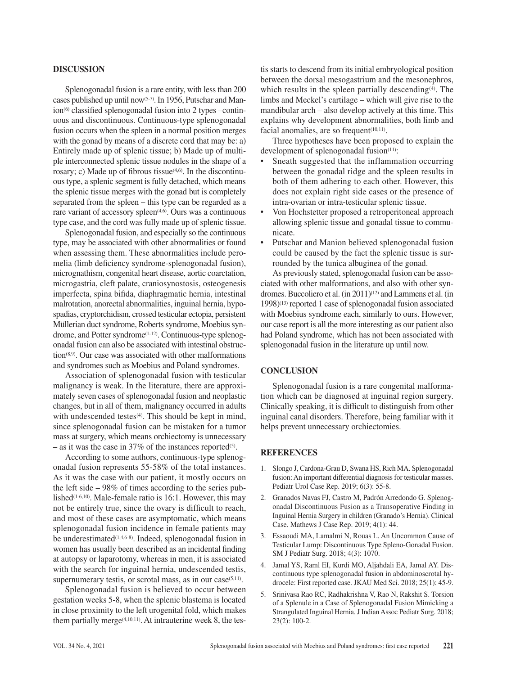## **DISCUSSION**

Splenogonadal fusion is a rare entity, with less than 200 cases published up until now(5-7). In 1956, Putschar and Manion(6) classified splenogonadal fusion into 2 types –continuous and discontinuous. Continuous-type splenogonadal fusion occurs when the spleen in a normal position merges with the gonad by means of a discrete cord that may be: a) Entirely made up of splenic tissue; b) Made up of multiple interconnected splenic tissue nodules in the shape of a rosary; c) Made up of fibrous tissue $(4,6)$ . In the discontinuous type, a splenic segment is fully detached, which means the splenic tissue merges with the gonad but is completely separated from the spleen – this type can be regarded as a rare variant of accessory spleen<sup>(4,6)</sup>. Ours was a continuous type case, and the cord was fully made up of splenic tissue.

Splenogonadal fusion, and especially so the continuous type, may be associated with other abnormalities or found when assessing them. These abnormalities include peromelia (limb deficiency syndrome-splenogonadal fusion), micrognathism, congenital heart disease, aortic coarctation, microgastria, cleft palate, craniosynostosis, osteogenesis imperfecta, spina bifida, diaphragmatic hernia, intestinal malrotation, anorectal abnormalities, inguinal hernia, hypospadias, cryptorchidism, crossed testicular ectopia, persistent Müllerian duct syndrome, Roberts syndrome, Moebius syndrome, and Potter syndrome<sup>(1-12)</sup>. Continuous-type splenogonadal fusion can also be associated with intestinal obstruction(8,9). Our case was associated with other malformations and syndromes such as Moebius and Poland syndromes.

Association of splenogonadal fusion with testicular malignancy is weak. In the literature, there are approximately seven cases of splenogonadal fusion and neoplastic changes, but in all of them, malignancy occurred in adults with undescended testes<sup>(4)</sup>. This should be kept in mind, since splenogonadal fusion can be mistaken for a tumor mass at surgery, which means orchiectomy is unnecessary – as it was the case in 37% of the instances reported<sup>(5)</sup>.

According to some authors, continuous-type splenogonadal fusion represents 55-58% of the total instances. As it was the case with our patient, it mostly occurs on the left side – 98% of times according to the series published<sup>(1-6,10)</sup>. Male-female ratio is 16:1. However, this may not be entirely true, since the ovary is difficult to reach, and most of these cases are asymptomatic, which means splenogonadal fusion incidence in female patients may be underestimated<sup>(1,4,6-8)</sup>. Indeed, splenogonadal fusion in women has usually been described as an incidental finding at autopsy or laparotomy, whereas in men, it is associated with the search for inguinal hernia, undescended testis, supernumerary testis, or scrotal mass, as in our case $(5,11)$ .

Splenogonadal fusion is believed to occur between gestation weeks 5-8, when the splenic blastema is located in close proximity to the left urogenital fold, which makes them partially merge $(4,10,11)$ . At intrauterine week 8, the testis starts to descend from its initial embryological position between the dorsal mesogastrium and the mesonephros, which results in the spleen partially descending $(4)$ . The limbs and Meckel's cartilage – which will give rise to the mandibular arch – also develop actively at this time. This explains why development abnormalities, both limb and facial anomalies, are so frequent $(10,11)$ .

Three hypotheses have been proposed to explain the development of splenogonadal fusion<sup>(11)</sup>:

- Sneath suggested that the inflammation occurring between the gonadal ridge and the spleen results in both of them adhering to each other. However, this does not explain right side cases or the presence of intra-ovarian or intra-testicular splenic tissue.
- Von Hochstetter proposed a retroperitoneal approach allowing splenic tissue and gonadal tissue to communicate.
- Putschar and Manion believed splenogonadal fusion could be caused by the fact the splenic tissue is surrounded by the tunica albuginea of the gonad.

As previously stated, splenogonadal fusion can be associated with other malformations, and also with other syndromes. Buccoliero et al. (in 2011)<sup>(12)</sup> and Lammens et al. (in 1998)(13) reported 1 case of splenogonadal fusion associated with Moebius syndrome each, similarly to ours. However, our case report is all the more interesting as our patient also had Poland syndrome, which has not been associated with splenogonadal fusion in the literature up until now.

## **CONCLUSION**

Splenogonadal fusion is a rare congenital malformation which can be diagnosed at inguinal region surgery. Clinically speaking, it is difficult to distinguish from other inguinal canal disorders. Therefore, being familiar with it helps prevent unnecessary orchiectomies.

## **REFERENCES**

- 1. Slongo J, Cardona-Grau D, Swana HS, Rich MA. Splenogonadal fusion: An important differential diagnosis for testicular masses. Pediatr Urol Case Rep. 2019; 6(3): 55-8.
- 2. Granados Navas FJ, Castro M, Padrón Arredondo G. Splenogonadal Discontinuous Fusion as a Transoperative Finding in Inguinal Hernia Surgery in children (Granado's Hernia). Clinical Case. Mathews J Case Rep. 2019; 4(1): 44.
- 3. Essaoudi MA, Lamalmi N, Rouas L. An Uncommon Cause of Testicular Lump: Discontinuous Type Spleno-Gonadal Fusion. SM J Pediatr Surg. 2018; 4(3): 1070.
- 4. Jamal YS, Raml EI, Kurdi MO, Aljahdali EA, Jamal AY. Discontinuous type splenogonadal fusion in abdominoscrotal hydrocele: First reported case. JKAU Med Sci. 2018; 25(1): 45-9.
- 5. Srinivasa Rao RC, Radhakrishna V, Rao N, Rakshit S. Torsion of a Splenule in a Case of Splenogonadal Fusion Mimicking a Strangulated Inguinal Hernia. J Indian Assoc Pediatr Surg. 2018; 23(2): 100-2.